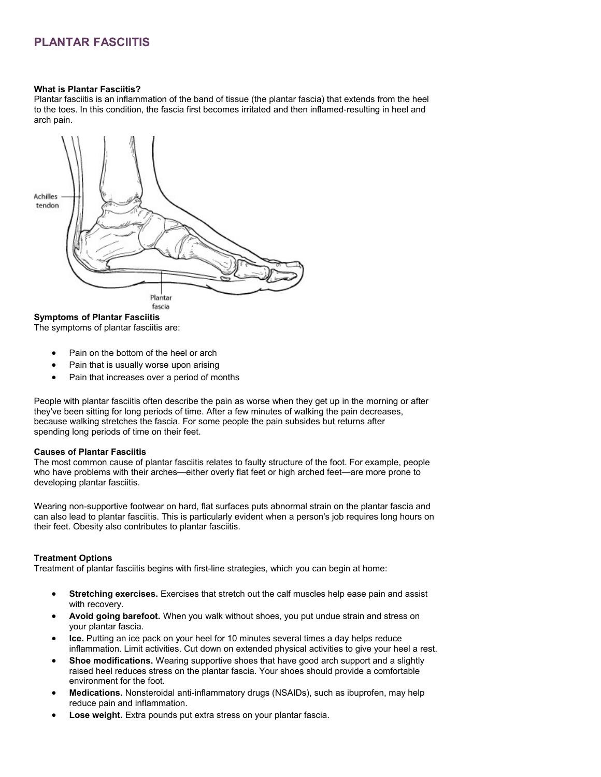### **PLANTAR FASCIITIS**

#### **What is Plantar Fasciitis?**

Plantar fasciitis is an inflammation of the band of tissue (the plantar fascia) that extends from the heel to the toes. In this condition, the fascia first becomes irritated and then inflamed-resulting in heel and arch pain.



**Symptoms of Plantar Fasciitis**

The symptoms of plantar fasciitis are:

- Pain on the bottom of the heel or arch
- Pain that is usually worse upon arising
- Pain that increases over a period of months

People with plantar fasciitis often describe the pain as worse when they get up in the morning or after they've been sitting for long periods of time. After a few minutes of walking the pain decreases, because walking stretches the fascia. For some people the pain subsides but returns after spending long periods of time on their feet.

#### **Causes of Plantar Fasciitis**

The most common cause of plantar fasciitis relates to faulty structure of the foot. For example, people who have problems with their arches—either overly flat feet or high arched feet—are more prone to developing plantar fasciitis.

Wearing non-supportive footwear on hard, flat surfaces puts abnormal strain on the plantar fascia and can also lead to plantar fasciitis. This is particularly evident when a person's job requires long hours on their feet. Obesity also contributes to plantar fasciitis.

#### **Treatment Options**

Treatment of plantar fasciitis begins with first-line strategies, which you can begin at home:

- **Stretching exercises.** Exercises that stretch out the calf muscles help ease pain and assist with recovery.
- **Avoid going barefoot.** When you walk without shoes, you put undue strain and stress on your plantar fascia.
- **Ice.** Putting an ice pack on your heel for 10 minutes several times a day helps reduce inflammation. Limit activities. Cut down on extended physical activities to give your heel a rest.
- **Shoe modifications.** Wearing supportive shoes that have good arch support and a slightly raised heel reduces stress on the plantar fascia. Your shoes should provide a comfortable environment for the foot.
- **Medications.** Nonsteroidal anti-inflammatory drugs (NSAIDs), such as ibuprofen, may help reduce pain and inflammation.
- **Lose weight.** Extra pounds put extra stress on your plantar fascia.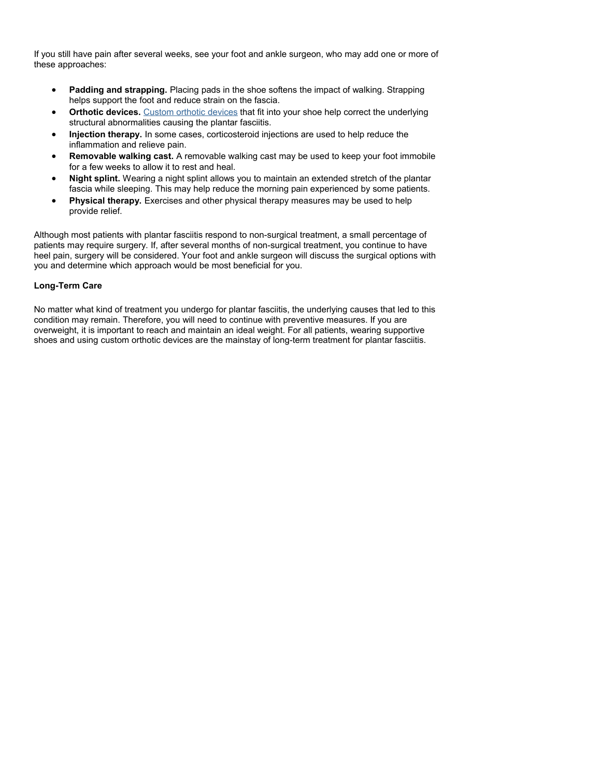If you still have pain after several weeks, see your foot and ankle surgeon, who may add one or more of these approaches:

- **Padding and strapping.** Placing pads in the shoe softens the impact of walking. Strapping helps support the foot and reduce strain on the fascia.
- **Orthotic devices.** [Custom orthotic devices](http://www.footphysicians.com/what-is/custom-devices.htm) that fit into your shoe help correct the underlying structural abnormalities causing the plantar fasciitis.
- **Injection therapy.** In some cases, corticosteroid injections are used to help reduce the inflammation and relieve pain.
- **Removable walking cast.** A removable walking cast may be used to keep your foot immobile for a few weeks to allow it to rest and heal.
- **Night splint.** Wearing a night splint allows you to maintain an extended stretch of the plantar fascia while sleeping. This may help reduce the morning pain experienced by some patients.
- **Physical therapy.** Exercises and other physical therapy measures may be used to help provide relief.

Although most patients with plantar fasciitis respond to non-surgical treatment, a small percentage of patients may require surgery. If, after several months of non-surgical treatment, you continue to have heel pain, surgery will be considered. Your foot and ankle surgeon will discuss the surgical options with you and determine which approach would be most beneficial for you.

#### **Long-Term Care**

No matter what kind of treatment you undergo for plantar fasciitis, the underlying causes that led to this condition may remain. Therefore, you will need to continue with preventive measures. If you are overweight, it is important to reach and maintain an ideal weight. For all patients, wearing supportive shoes and using custom orthotic devices are the mainstay of long-term treatment for plantar fasciitis.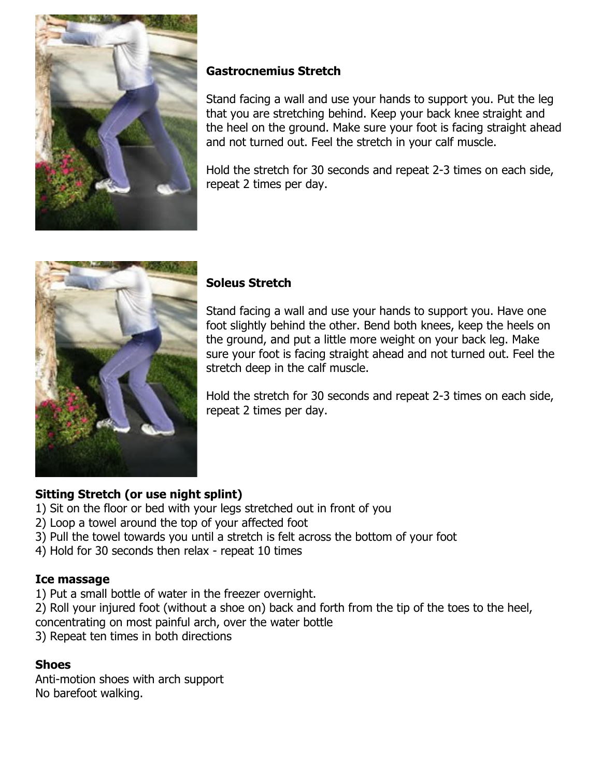

# **Gastrocnemius Stretch**

Stand facing a wall and use your hands to support you. Put the leg that you are stretching behind. Keep your back knee straight and the heel on the ground. Make sure your foot is facing straight ahead and not turned out. Feel the stretch in your calf muscle.

Hold the stretch for 30 seconds and repeat 2-3 times on each side, repeat 2 times per day.



### **Soleus Stretch**

Stand facing a wall and use your hands to support you. Have one foot slightly behind the other. Bend both knees, keep the heels on the ground, and put a little more weight on your back leg. Make sure your foot is facing straight ahead and not turned out. Feel the stretch deep in the calf muscle.

Hold the stretch for 30 seconds and repeat 2-3 times on each side, repeat 2 times per day.

## **Sitting Stretch (or use night splint)**

- 1) Sit on the floor or bed with your legs stretched out in front of you
- 2) Loop a towel around the top of your affected foot
- 3) Pull the towel towards you until a stretch is felt across the bottom of your foot
- 4) Hold for 30 seconds then relax repeat 10 times

### **Ice massage**

- 1) Put a small bottle of water in the freezer overnight.
- 2) Roll your injured foot (without a shoe on) back and forth from the tip of the toes to the heel, concentrating on most painful arch, over the water bottle
- 3) Repeat ten times in both directions

### **Shoes**

Anti-motion shoes with arch support No barefoot walking.